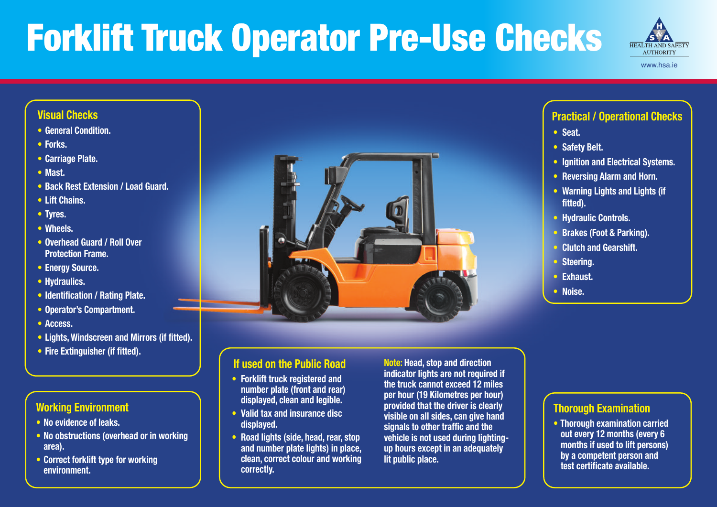#### **Working Environment**

- **• No evidence of leaks.**
- **• No obstructions (overhead or in working area).**
- **• Correct forklift type for working environment.**



#### **Visual Checks**

- **• General Condition.**
- **• Forks.**
- **• Carriage Plate.**
- **• Mast.**
- **• Back Rest Extension / Load Guard.**
- **• Lift Chains.**
- **• Tyres.**
- **• Wheels.**
- **• Overhead Guard / Roll Over Protection Frame.**
- **• Energy Source.**
- **• Hydraulics.**
- **• Identification / Rating Plate.**
- **• Operator's Compartment.**
- **• Access.**
- **• Lights, Windscreen and Mirrors (if fitted).**
- **• Fire Extinguisher (if fitted).**

| <b>Practical / Operational Checks</b>                |  |  |  |
|------------------------------------------------------|--|--|--|
| • Seat.                                              |  |  |  |
| • Safety Belt.                                       |  |  |  |
| <b>Ignition and Electrical Systems.</b><br>$\bullet$ |  |  |  |
| • Reversing Alarm and Horn.                          |  |  |  |
| • Warning Lights and Lights (if<br>fitted).          |  |  |  |
| • Hydraulic Controls.                                |  |  |  |
| • Brakes (Foot & Parking).                           |  |  |  |
| <b>Clutch and Gearshift.</b><br>$\bullet$            |  |  |  |
| • Steering.                                          |  |  |  |
| • Exhaust.                                           |  |  |  |
| • Noise.                                             |  |  |  |
|                                                      |  |  |  |
|                                                      |  |  |  |
|                                                      |  |  |  |
|                                                      |  |  |  |

#### **Thorough Examination**

**• Thorough examination carried out every 12 months (every 6 months if used to lift persons) by a competent person and test certificate available.**

### **If used on the Public Road**

- **• Forklift truck registered and number plate (front and rear) displayed, clean and legible.**
- **• Valid tax and insurance disc displayed.**
- **• Road lights (side, head, rear, stop and number plate lights) in place, clean, correct colour and working correctly.**

**Note: Head, stop and direction indicator lights are not required if the truck cannot exceed 12 miles per hour (19 Kilometres per hour) provided that the driver is clearly visible on all sides, can give hand signals to other traffic and the vehicle is not used during lightingup hours except in an adequately lit public place.**





# Forklift Truck Operator Pre-Use Checks

www.hsa.ie